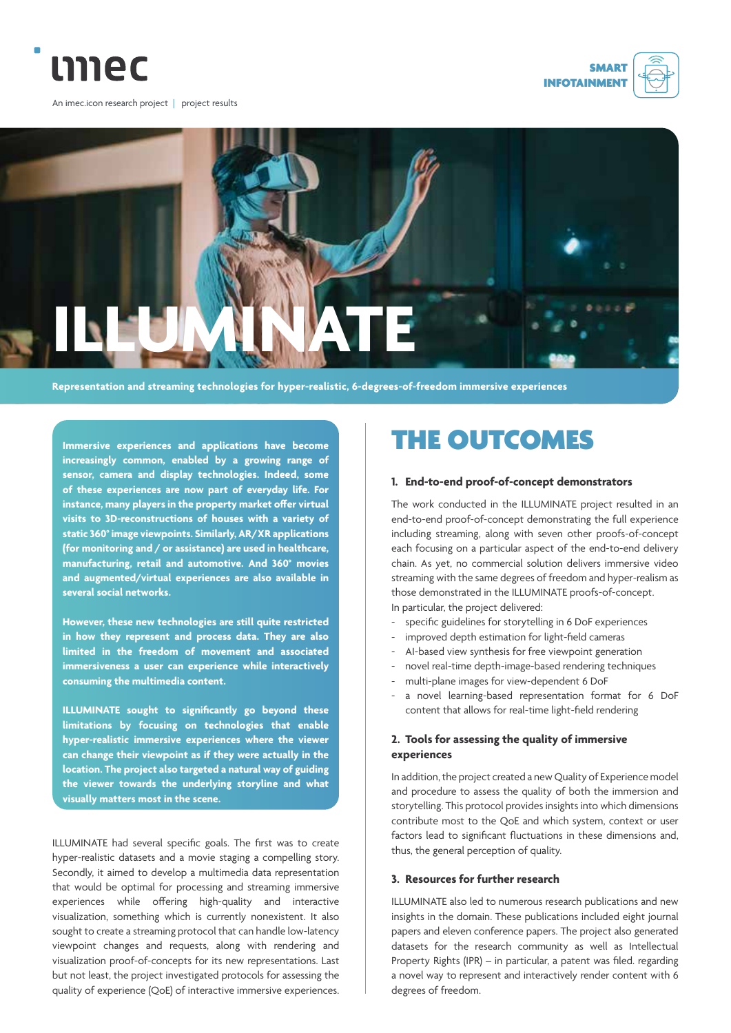







**Representation and streaming technologies for hyper-realistic, 6-degrees-of-freedom immersive experiences**

**Immersive experiences and applications have become increasingly common, enabled by a growing range of sensor, camera and display technologies. Indeed, some of these experiences are now part of everyday life. For instance, many players in the property market offer virtual visits to 3D-reconstructions of houses with a variety of static 360° image viewpoints. Similarly, AR/XR applications (for monitoring and / or assistance) are used in healthcare, manufacturing, retail and automotive. And 360° movies and augmented/virtual experiences are also available in several social networks.** 

**However, these new technologies are still quite restricted in how they represent and process data. They are also limited in the freedom of movement and associated immersiveness a user can experience while interactively consuming the multimedia content.** 

**ILLUMINATE sought to significantly go beyond these limitations by focusing on technologies that enable hyper-realistic immersive experiences where the viewer can change their viewpoint as if they were actually in the location. The project also targeted a natural way of guiding the viewer towards the underlying storyline and what visually matters most in the scene.**

ILLUMINATE had several specific goals. The first was to create hyper-realistic datasets and a movie staging a compelling story. Secondly, it aimed to develop a multimedia data representation that would be optimal for processing and streaming immersive experiences while offering high-quality and interactive visualization, something which is currently nonexistent. It also sought to create a streaming protocol that can handle low-latency viewpoint changes and requests, along with rendering and visualization proof-of-concepts for its new representations. Last but not least, the project investigated protocols for assessing the quality of experience (QoE) of interactive immersive experiences.

# THE OUTCOMES

#### **1. End-to-end proof-of-concept demonstrators**

The work conducted in the ILLUMINATE project resulted in an end-to-end proof-of-concept demonstrating the full experience including streaming, along with seven other proofs-of-concept each focusing on a particular aspect of the end-to-end delivery chain. As yet, no commercial solution delivers immersive video streaming with the same degrees of freedom and hyper-realism as those demonstrated in the ILLUMINATE proofs-of-concept. In particular, the project delivered:

- specific guidelines for storytelling in 6 DoF experiences
- improved depth estimation for light-field cameras
- AI-based view synthesis for free viewpoint generation
- novel real-time depth-image-based rendering techniques
- multi-plane images for view-dependent 6 DoF
- a novel learning-based representation format for 6 DoF content that allows for real-time light-field rendering

### **2. Tools for assessing the quality of immersive experiences**

In addition, the project created a new Quality of Experience model and procedure to assess the quality of both the immersion and storytelling. This protocol provides insights into which dimensions contribute most to the QoE and which system, context or user factors lead to significant fluctuations in these dimensions and, thus, the general perception of quality.

### **3. Resources for further research**

ILLUMINATE also led to numerous research publications and new insights in the domain. These publications included eight journal papers and eleven conference papers. The project also generated datasets for the research community as well as Intellectual Property Rights (IPR) – in particular, a patent was filed. regarding a novel way to represent and interactively render content with 6 degrees of freedom.